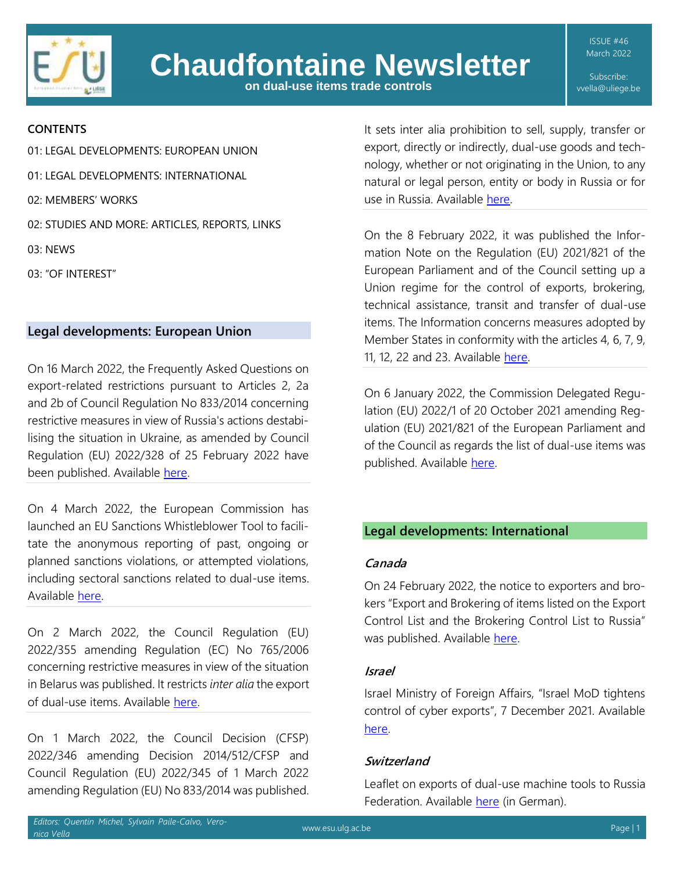

**on dual-use items trade controls**

ISSUE #46 March 2022

Subscribe: vvella@uliege.be

## **CONTENTS**

[01: LEGAL DEVELOPMENTS: EUROPEAN UNION](#page-0-0) [01: LEGAL DEVELOPMENTS: INTERNATIONAL](#page-0-1) 02: MEMBERS' WORKS [02: STUDIES AND MORE: ARTICLES, REPORTS, LINKS](#page-2-0) 03: NEWS 03: "OF INTEREST"

## <span id="page-0-0"></span>**Legal developments: European Union**

On 16 March 2022, the Frequently Asked Questions on export-related restrictions pursuant to Articles 2, 2a and 2b of Council Regulation No 833/2014 concerning restrictive measures in view of Russia's actions destabilising the situation in Ukraine, as amended by Council Regulation (EU) 2022/328 of 25 February 2022 have been published. Available [here.](https://ec.europa.eu/info/sites/default/files/business_economy_euro/banking_and_finance/documents/220316-faqs-export-related-restrictions-russia_en.pdf)

On 4 March 2022, the European Commission has launched an EU Sanctions Whistleblower Tool to facilitate the anonymous reporting of past, ongoing or planned sanctions violations, or attempted violations, including sectoral sanctions related to dual-use items. Available [here.](https://eusanctions.integrityline.com/frontpage)

On 2 March 2022, the Council Regulation (EU) 2022/355 amending Regulation (EC) No 765/2006 concerning restrictive measures in view of the situation in Belarus was published. It restricts *inter alia* the export of dual-use items. Available [here.](https://eur-lex.europa.eu/legal-content/EN/TXT/?uri=CELEX:32022R0355)

On 1 March 2022, the Council Decision (CFSP) 2022/346 amending Decision 2014/512/CFSP and Council Regulation (EU) 2022/345 of 1 March 2022 amending Regulation (EU) No 833/2014 was published. It sets inter alia prohibition to sell, supply, transfer or export, directly or indirectly, dual-use goods and technology, whether or not originating in the Union, to any natural or legal person, entity or body in Russia or for use in Russia. Available [here.](https://eur-lex.europa.eu/legal-content/EN/TXT/?uri=CELEX:32022D0346)

On the 8 February 2022, it was published the Information Note on the Regulation (EU) 2021/821 of the European Parliament and of the Council setting up a Union regime for the control of exports, brokering, technical assistance, transit and transfer of dual-use items. The Information concerns measures adopted by Member States in conformity with the articles 4, 6, 7, 9, 11, 12, 22 and 23. Available [here.](https://eur-lex.europa.eu/legal-content/EN/TXT/PDF/?uri=CELEX:52022XC0208(02)&from=EN)

On 6 January 2022, the Commission Delegated Regulation (EU) 2022/1 of 20 October 2021 amending Regulation (EU) 2021/821 of the European Parliament and of the Council as regards the list of dual-use items was published. Available [here.](https://www.esu.ulg.ac.be/wp-content/uploads/2022/01/Annex-I-2022-1.pdf)

## <span id="page-0-1"></span>**Legal developments: International**

#### **Canada**

On 24 February 2022, the notice to exporters and brokers "Export and Brokering of items listed on the Export Control List and the Brokering Control List to Russia" was published. Available [here.](https://www.international.gc.ca/trade-commerce/controls-controles/notices-avis/1071.aspx?lang=eng)

#### **Israel**

Israel Ministry of Foreign Affairs, "Israel MoD tightens control of cyber exports", 7 December 2021. Available [here.](https://www.gov.il/en/departments/news/mod-tightens-control-of-cyber-exports-6-december-2021)

## **Switzerland**

Leaflet on exports of dual-use machine tools to Russia Federation. Available [here](https://www.seco.admin.ch/seco/en/home/Aussenwirtschaftspolitik_Wirtschaftliche_Zusammenarbeit/Wirtschaftsbeziehungen/exportkontrollen-und-sanktionen/industrieprodukte--dual-use--und-besondere-militaerische-gueter.html) (in German).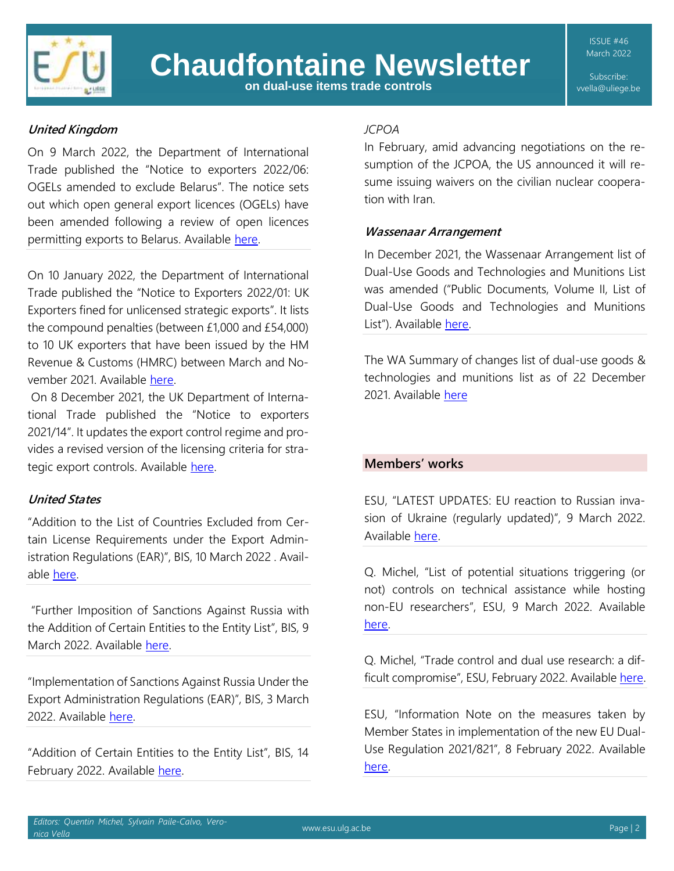

# **Chaudfontaine Newsletter**

**on dual-use items trade controls**

ISSUE #46 March 2022

Subscribe: vvella@uliege.be

# **United Kingdom**

On 9 March 2022, the Department of International Trade published the "Notice to exporters 2022/06: OGELs amended to exclude Belarus". The notice sets out which open general export licences (OGELs) have been amended following a review of open licences permitting exports to Belarus. Available [here.](https://www.gov.uk/government/publications/notice-to-exporters-202206-ogels-amended-to-exclude-belarus)

On 10 January 2022, the Department of International Trade published the "Notice to Exporters 2022/01: UK Exporters fined for unlicensed strategic exports". It lists the compound penalties (between £1,000 and £54,000) to 10 UK exporters that have been issued by the HM Revenue & Customs (HMRC) between March and November 2021. Available [here.](https://www.gov.uk/government/publications/notice-to-exporters-202201-uk-exporters-fined-for-unlicensed-strategic-exports/nte-202201-uk-exporters-fined-for-unlicensed-strategic-exports)

On 8 December 2021, the UK Department of International Trade published the "Notice to exporters 2021/14". It updates the export control regime and provides a revised version of the licensing criteria for strategic export controls. Available [here.](https://www.gov.uk/government/publications/notice-to-exporters-202114-updates-to-the-export-control-regime/nte-202114-updates-to-the-export-control-regime)

## **United States**

"Addition to the List of Countries Excluded from Certain License Requirements under the Export Administration Regulations (EAR)", BIS, 10 March 2022 . Available [here.](https://www.bis.doc.gov/index.php/documents/federal-register-notices-1/2927-87-fr-13627-3102022-addi-to-list-of-countries-exclu-from-cert-lic-req-2022-05025/file)

"Further Imposition of Sanctions Against Russia with the Addition of Certain Entities to the Entity List", BIS, 9 March 2022. Available [here.](https://public-inspection.federalregister.gov/2022-04925.pdf)

"Implementation of Sanctions Against Russia Under the Export Administration Regulations (EAR)", BIS, 3 March 2022. Available [here.](https://public-inspection.federalregister.gov/2022-04300.pdf) 

"Addition of Certain Entities to the Entity List", BIS, 14 February 2022. Available [here.](https://www.federalregister.gov/documents/2022/02/14/2022-03029/addition-of-certain-entities-to-the-entity-list)

## *JCPOA*

In February, amid advancing negotiations on the resumption of the JCPOA, the US announced it will resume issuing waivers on the civilian nuclear cooperation with Iran.

## **Wassenaar Arrangement**

In December 2021, the Wassenaar Arrangement list of Dual-Use Goods and Technologies and Munitions List was amended ("Public Documents, Volume II, List of Dual-Use Goods and Technologies and Munitions List"). Available [here.](https://www.wassenaar.org/app/uploads/2021/12/Public-Docs-Vol-II-2021-List-of-DU-Goods-and-Technologies-and-Munitions-List-Dec-21.pdf)

The WA Summary of changes list of dual-use goods & technologies and munitions list as of 22 December 2021. Available [here](https://www.wassenaar.org/app/uploads/2021/12/Summary-of-Changes-to-the-2019-2020-Lists.pdf)

## **Members' works**

ESU, "LATEST UPDATES: EU reaction to Russian invasion of Ukraine (regularly updated)", 9 March 2022. Available [here.](https://www.esu.ulg.ac.be/eu-reaction-to-russian-invasion-of-ukraine/)

Q. Michel, "List of potential situations triggering (or not) controls on technical assistance while hosting non-EU researchers", ESU, 9 March 2022. Available [here.](https://www.esu.ulg.ac.be/list-of-potential-situations-nottriggering-controls-on-technical-assistance-while-hosting-non-eu-researchers%EF%BF%BC/)

Q. Michel, "Trade control and dual use research: a difficult compromise", ESU, February 2022. Available [here.](https://www.esu.ulg.ac.be/wp-content/uploads/2022/02/TС_difficult-compromise.pdf)

ESU, "Information Note on the measures taken by Member States in implementation of the new EU Dual-Use Regulation 2021/821", 8 February 2022. Available [here.](https://www.esu.ulg.ac.be/information-note-on-the-measures-taken-by-member-states-in-implementation-of-the-new-eu-dual-use-regulation-2021-821%EF%BF%BC/)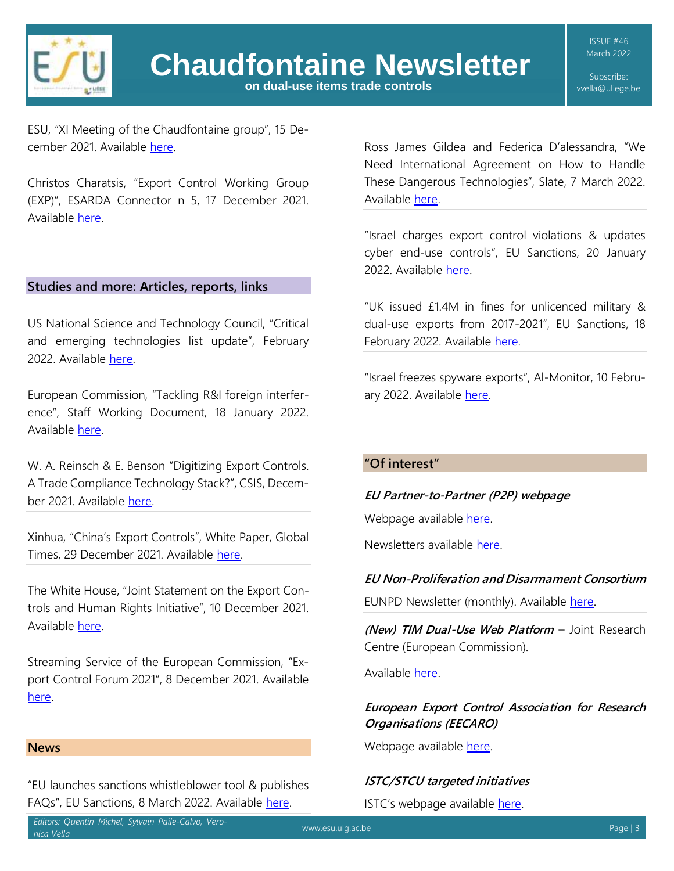

Subscribe: vvella@uliege.be

ESU, "XI Meeting of the Chaudfontaine group", 15 December 2021. Available [here.](https://www.esu.ulg.ac.be/xi-meeting-of-the-chaudfontaine-group/)

Christos Charatsis, "Export Control Working Group (EXP)", ESARDA Connector n 5, 17 December 2021. Available [here.](https://esarda.jrc.ec.europa.eu/connector-n5_en)

## <span id="page-2-0"></span>**Studies and more: Articles, reports, links**

US National Science and Technology Council, "Critical and emerging technologies list update", February 2022. Available [here.](https://www.whitehouse.gov/wp-content/uploads/2022/02/02-2022-Critical-and-Emerging-Technologies-List-Update.pdf)

European Commission, "Tackling R&I foreign interference", Staff Working Document, 18 January 2022. Available [here.](https://op.europa.eu/en/web/eu-law-and-publications/publication-detail/-/publication/3faf52e8-79a2-11ec-9136-01aa75ed71a1)

W. A. Reinsch & E. Benson "Digitizing Export Controls. A Trade Compliance Technology Stack?", CSIS, December 2021. Available [here.](https://csis-website-prod.s3.amazonaws.com/s3fs-public/publication/211201_Reinsch_Digitizing_ExportControls.pdf?EZ.7BrxaXtjvnwfiD79RZ5ptWs692Ua6) 

Xinhua, "China's Export Controls", White Paper, Global Times, 29 December 2021. Available [here.](https://www.globaltimes.cn/page/202112/1243652.shtml)

The White House, "Joint Statement on the Export Controls and Human Rights Initiative", 10 December 2021. Available [here.](https://www.whitehouse.gov/briefing-room/statements-releases/2021/12/10/joint-statement-on-the-export-controls-and-human-rights-initiative/)

Streaming Service of the European Commission, "Export Control Forum 2021", 8 December 2021. Available [here.](https://webcast.ec.europa.eu/2021-export-control-forum) 

## **News**

"EU launches sanctions whistleblower tool & publishes FAQs", EU Sanctions, 8 March 2022. Available [here.](https://www.europeansanctions.com/2022/03/eu-launches-sanctions-whistleblower-tool-publishes-faqs/)

Ross James Gildea and Federica D'alessandra, "We Need International Agreement on How to Handle These Dangerous Technologies", Slate, 7 March 2022. Available [here.](https://slate.com/technology/2022/03/dual-use-surveillance-technology-export-controls.html)

"Israel charges export control violations & updates cyber end-use controls", EU Sanctions, 20 January 2022. Available [here.](https://www.europeansanctions.com/2022/01/israel-charges-export-control-violations-updates-cyber-end-use-controls/)

"UK issued £1.4M in fines for unlicenced military & dual-use exports from 2017-2021", EU Sanctions, 18 February 2022. Available [here.](https://www.europeansanctions.com/2022/02/uk-issued-1-4m-in-fines-for-unlicenced-military-dual-use-exports-from-2017-2021/)

"Israel freezes spyware exports", Al-Monitor, 10 February 2022. Available [here.](https://www.al-monitor.com/originals/2022/02/israel-freezes-spyware-exports)

## **"Of interest"**

## **EU Partner-to-Partner (P2P) webpage**

Webpage available [here.](https://europa.eu/cbrn-risk-mitigation/eu-p2p-export-control-programme_fr)

Newsletters available [here.](https://europa.eu/cbrn-risk-mitigation/eu-p2p-export-control-programme/eu-p2p-newsletter_en)

## **EU Non-Proliferation and Disarmament Consortium**

EUNPD Newsletter (monthly). Available [here.](https://www.nonproliferation.eu/)

**(New) TIM Dual-Use Web Platform** – Joint Research Centre (European Commission).

Available [here.](https://knowledge4policy.ec.europa.eu/text-mining/tim-dual-use_en)

## **European Export Control Association for Research Organisations (EECARO)**

Webpage available [here.](https://eecaro.eu/)

## **ISTC/STCU targeted initiatives**

ISTC's webpage available [here.](https://www.istc.int/en/ExpoControlALL)